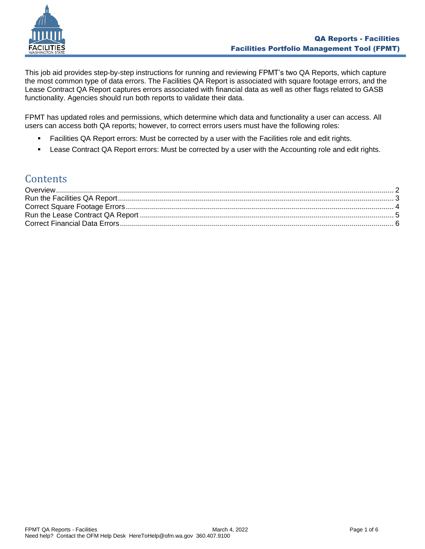

This job aid provides step-by-step instructions for running and reviewing FPMT's two QA Reports, which capture the most common type of data errors. The Facilities QA Report is associated with square footage errors, and the Lease Contract QA Report captures errors associated with financial data as well as other flags related to GASB functionality. Agencies should run both reports to validate their data.

FPMT has updated roles and permissions, which determine which data and functionality a user can access. All users can access both QA reports; however, to correct errors users must have the following roles:

- **Facilities QA Report errors: Must be corrected by a user with the Facilities role and edit rights.**
- **EXECO** Lease Contract QA Report errors: Must be corrected by a user with the Accounting role and edit rights.

### **Contents**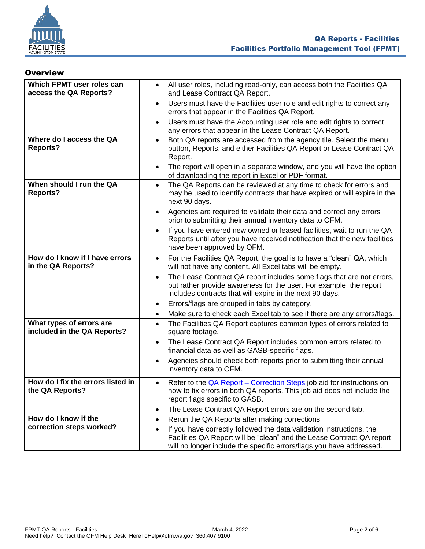

### <span id="page-1-0"></span>**Overview**

| Which FPMT user roles can<br>access the QA Reports?     | All user roles, including read-only, can access both the Facilities QA<br>$\bullet$<br>and Lease Contract QA Report.                                                                                                               |
|---------------------------------------------------------|------------------------------------------------------------------------------------------------------------------------------------------------------------------------------------------------------------------------------------|
|                                                         | Users must have the Facilities user role and edit rights to correct any<br>$\bullet$<br>errors that appear in the Facilities QA Report.                                                                                            |
|                                                         | Users must have the Accounting user role and edit rights to correct<br>$\bullet$<br>any errors that appear in the Lease Contract QA Report.                                                                                        |
| Where do I access the QA<br><b>Reports?</b>             | Both QA reports are accessed from the agency tile. Select the menu<br>$\bullet$<br>button, Reports, and either Facilities QA Report or Lease Contract QA<br>Report.                                                                |
|                                                         | The report will open in a separate window, and you will have the option<br>$\bullet$<br>of downloading the report in Excel or PDF format.                                                                                          |
| When should I run the QA<br><b>Reports?</b>             | The QA Reports can be reviewed at any time to check for errors and<br>$\bullet$<br>may be used to identify contracts that have expired or will expire in the<br>next 90 days.                                                      |
|                                                         | Agencies are required to validate their data and correct any errors<br>$\bullet$<br>prior to submitting their annual inventory data to OFM.                                                                                        |
|                                                         | If you have entered new owned or leased facilities, wait to run the QA<br>$\bullet$<br>Reports until after you have received notification that the new facilities<br>have been approved by OFM.                                    |
| How do I know if I have errors<br>in the QA Reports?    | For the Facilities QA Report, the goal is to have a "clean" QA, which<br>$\bullet$<br>will not have any content. All Excel tabs will be empty.                                                                                     |
|                                                         | The Lease Contract QA report includes some flags that are not errors,<br>$\bullet$<br>but rather provide awareness for the user. For example, the report<br>includes contracts that will expire in the next 90 days.               |
|                                                         | Errors/flags are grouped in tabs by category.<br>$\bullet$                                                                                                                                                                         |
|                                                         | Make sure to check each Excel tab to see if there are any errors/flags.<br>$\bullet$                                                                                                                                               |
| What types of errors are<br>included in the QA Reports? | The Facilities QA Report captures common types of errors related to<br>$\bullet$<br>square footage.                                                                                                                                |
|                                                         | The Lease Contract QA Report includes common errors related to<br>$\bullet$<br>financial data as well as GASB-specific flags.                                                                                                      |
|                                                         | Agencies should check both reports prior to submitting their annual<br>$\bullet$<br>inventory data to OFM.                                                                                                                         |
| How do I fix the errors listed in<br>the QA Reports?    | Refer to the <b>QA Report</b> – Correction Steps job aid for instructions on<br>$\bullet$<br>how to fix errors in both QA reports. This job aid does not include the<br>report flags specific to GASB.                             |
|                                                         | The Lease Contract QA Report errors are on the second tab.<br>$\bullet$                                                                                                                                                            |
| How do I know if the                                    | Rerun the QA Reports after making corrections.<br>$\bullet$                                                                                                                                                                        |
| correction steps worked?                                | If you have correctly followed the data validation instructions, the<br>$\bullet$<br>Facilities QA Report will be "clean" and the Lease Contract QA report<br>will no longer include the specific errors/flags you have addressed. |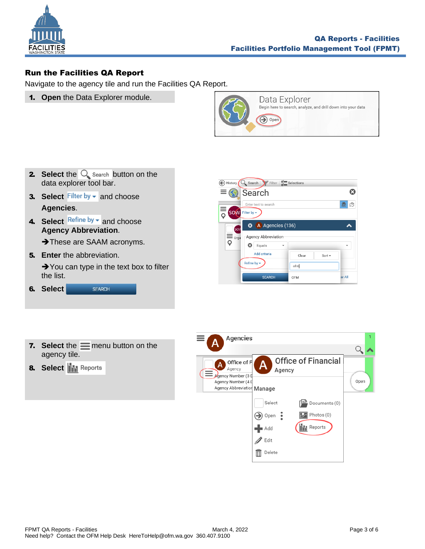

### <span id="page-2-0"></span>Run the Facilities QA Report

Navigate to the agency tile and run the Facilities QA Report.

1. **Open** the Data Explorer module.



- **2.** Select the  $\bigcirc$  search button on the data explorer tool bar.
- **3. Select** Filter by  $\bullet$  and choose **Agencies**.
- 4. Select Refine by v and choose **Agency Abbreviation**. → These are SAAM acronyms.
- 5. **Enter** the abbreviation. **→**You can type in the text box to filter the list.

| 6. Select | <b>SFARCH</b> |
|-----------|---------------|
|           |               |



- **7.** Select the  $\equiv$  menu button on the agency tile.
- **8.** Select **iii** Reports

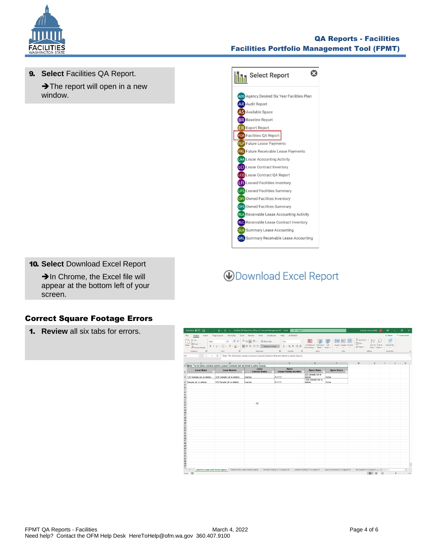

### QA Reports - Facilities Facilities Portfolio Management Tool (FPMT)

9. **Select** Facilities QA Report. **→ The report will open in a new** 

window.

 $\ddot{\mathbf{c}}$ Select Report ADS Agency Desired Six Year Facilities Plan **AR** Audit Report AS Available Space **BR** Baseline Report ER Export Report FOR Facilities QA Report FLP Future Lease Payments **FRU** Future Receivable Lease Payments LAA Lease Accounting Activity Lease Contract Inventory LCO Lease Contract QA Report Leased Facilities Inventory LFS Leased Facilities Summary OFI Owned Facilities Inventory OFS Owned Facilities Summary RLA Receivable Lease Accounting Activity RLC Receivable Lease Contract Inventory **SLA** Summary Lease Accounting **SRL** Summary Receivable Lease Accounting

### 10. **Select** Download Excel Report

→In Chrome, the Excel file will appear at the bottom left of your screen.

### <span id="page-3-0"></span>Correct Square Footage Errors

1. **Review** all six tabs for errors.

## **ODownload Excel Report**

|                                                          |                                                                                                                                                                                                                                             |                                                                                            | AutoSave (● Of) E 9 > (> ) g + 考 = Facilities OA Report for Office of Financial Management (2) - Excel D Search                                                      |                               |                                                                                                                                                | Gobelle, Krista (OFM) GK                                                                                                                                                                                                                                                                                                                                                                                                                                                                                                                       | $\mathbf{E}$ – $\mathbf{G}$                                                                                                                                                                                                                                                                                                                                                                                                              |
|----------------------------------------------------------|---------------------------------------------------------------------------------------------------------------------------------------------------------------------------------------------------------------------------------------------|--------------------------------------------------------------------------------------------|----------------------------------------------------------------------------------------------------------------------------------------------------------------------|-------------------------------|------------------------------------------------------------------------------------------------------------------------------------------------|------------------------------------------------------------------------------------------------------------------------------------------------------------------------------------------------------------------------------------------------------------------------------------------------------------------------------------------------------------------------------------------------------------------------------------------------------------------------------------------------------------------------------------------------|------------------------------------------------------------------------------------------------------------------------------------------------------------------------------------------------------------------------------------------------------------------------------------------------------------------------------------------------------------------------------------------------------------------------------------------|
| Copy v<br>Paste<br>Format Painter<br>Clipboard<br>$\sim$ | Font Ford Contract Contract Contract Contract Contract Contract Contract Contract Contract Contract Contract Contract Contract Contract Contract Contract Contract Contract Contract Contract Contract Contract Contract Contr<br>$\approx$ | File Home Insert Page Layout Formulas Data Review View Developer Help ACROBAT<br>Alignment | $\sim$<br>Number<br>$\sim$                                                                                                                                           | Styles                        | $\Rightarrow$<br>Insert Delete Format<br>$\begin{array}{cccccccccccccc} \cdots & \cdots & \cdots & \cdots & \cdots \end{array}$<br>Cells Cells | ■ 图 国   ΣAutoSum · Aマ Q<br>$\frac{1}{2}$ Fill $\sim$<br>Sort & Find &<br>$\begin{picture}(150,100) \put(0,0){\line(1,0){10}} \put(15,0){\line(1,0){10}} \put(15,0){\line(1,0){10}} \put(15,0){\line(1,0){10}} \put(15,0){\line(1,0){10}} \put(15,0){\line(1,0){10}} \put(15,0){\line(1,0){10}} \put(15,0){\line(1,0){10}} \put(15,0){\line(1,0){10}} \put(15,0){\line(1,0){10}} \put(15,0){\line(1,0){10}} \put(15,0){\line$<br>and the contract of a state of the contract of the contract of the contract of the contract of the contract of | Share Comments<br>$\mathbb{R}^3$<br>Sensitivity<br>Sensitivity                                                                                                                                                                                                                                                                                                                                                                           |
|                                                          |                                                                                                                                                                                                                                             |                                                                                            |                                                                                                                                                                      |                               |                                                                                                                                                |                                                                                                                                                                                                                                                                                                                                                                                                                                                                                                                                                |                                                                                                                                                                                                                                                                                                                                                                                                                                          |
|                                                          |                                                                                                                                                                                                                                             |                                                                                            | A1 $\cdot$ $\cdot$ $\cdot$ $\in$ $\mathcal{N}$ $\rightarrow$ $\mathcal{N}$ Note: The list below contains inactive Leased Contracts that are linked to active Spaces. |                               |                                                                                                                                                |                                                                                                                                                                                                                                                                                                                                                                                                                                                                                                                                                |                                                                                                                                                                                                                                                                                                                                                                                                                                          |
|                                                          |                                                                                                                                                                                                                                             |                                                                                            | a a B c D E F                                                                                                                                                        |                               |                                                                                                                                                | $\mathbf{G}$ $\mathbf{G}$                                                                                                                                                                                                                                                                                                                                                                                                                                                                                                                      | $\begin{array}{cccccccccccccc} \mathsf{H} & & \mathsf{I} & & \mathsf{I} & & \mathsf{J} & & \mathsf{J} & & \mathsf{J} & & \mathsf{J} & \mathsf{J} & & \mathsf{J} & \mathsf{J} & \mathsf{J} & & \mathsf{J} & \mathsf{J} & & \mathsf{J} & \mathsf{J} & & \mathsf{J} & \mathsf{J} & & \mathsf{J} & & \mathsf{J} & & \mathsf{J} & & \mathsf{J} & & \mathsf{J} & & \mathsf{J} & & \mathsf{J} & & \mathsf{J} & & \mathsf{J} & & \mathsf{J} & &$ |
|                                                          | 1 Note: The list below contains inactive Leased Contracts that are linked to active Spaces.                                                                                                                                                 | Lease                                                                                      | <b>Space</b>                                                                                                                                                         |                               |                                                                                                                                                |                                                                                                                                                                                                                                                                                                                                                                                                                                                                                                                                                |                                                                                                                                                                                                                                                                                                                                                                                                                                          |
| <b>Lease Name</b>                                        | <b>Lease Number</b>                                                                                                                                                                                                                         | <b>Contract Status</b>                                                                     | V Unique Facility Identifier                                                                                                                                         | <b>Space Name</b>             | <b>Space Status</b>                                                                                                                            |                                                                                                                                                                                                                                                                                                                                                                                                                                                                                                                                                |                                                                                                                                                                                                                                                                                                                                                                                                                                          |
| 3 123r Sample (ok to delete)                             | 123r Sample (ok to delete)                                                                                                                                                                                                                  | Inactive                                                                                   | A11111                                                                                                                                                               | 223 Sample (ok to<br>delete)  | Active                                                                                                                                         |                                                                                                                                                                                                                                                                                                                                                                                                                                                                                                                                                |                                                                                                                                                                                                                                                                                                                                                                                                                                          |
| 4 Sample (ok to delete)                                  | 123 Sample (ok to delete)                                                                                                                                                                                                                   | Inactive                                                                                   | A11111                                                                                                                                                               | 1234 Sample (ok to<br>delete) | Active                                                                                                                                         |                                                                                                                                                                                                                                                                                                                                                                                                                                                                                                                                                |                                                                                                                                                                                                                                                                                                                                                                                                                                          |
|                                                          |                                                                                                                                                                                                                                             |                                                                                            |                                                                                                                                                                      |                               |                                                                                                                                                |                                                                                                                                                                                                                                                                                                                                                                                                                                                                                                                                                |                                                                                                                                                                                                                                                                                                                                                                                                                                          |
|                                                          |                                                                                                                                                                                                                                             |                                                                                            |                                                                                                                                                                      |                               |                                                                                                                                                |                                                                                                                                                                                                                                                                                                                                                                                                                                                                                                                                                |                                                                                                                                                                                                                                                                                                                                                                                                                                          |
|                                                          |                                                                                                                                                                                                                                             |                                                                                            |                                                                                                                                                                      |                               |                                                                                                                                                |                                                                                                                                                                                                                                                                                                                                                                                                                                                                                                                                                |                                                                                                                                                                                                                                                                                                                                                                                                                                          |
|                                                          |                                                                                                                                                                                                                                             |                                                                                            |                                                                                                                                                                      |                               |                                                                                                                                                |                                                                                                                                                                                                                                                                                                                                                                                                                                                                                                                                                |                                                                                                                                                                                                                                                                                                                                                                                                                                          |
|                                                          |                                                                                                                                                                                                                                             | Ø.                                                                                         |                                                                                                                                                                      |                               |                                                                                                                                                |                                                                                                                                                                                                                                                                                                                                                                                                                                                                                                                                                |                                                                                                                                                                                                                                                                                                                                                                                                                                          |
|                                                          |                                                                                                                                                                                                                                             |                                                                                            |                                                                                                                                                                      |                               |                                                                                                                                                |                                                                                                                                                                                                                                                                                                                                                                                                                                                                                                                                                |                                                                                                                                                                                                                                                                                                                                                                                                                                          |
|                                                          |                                                                                                                                                                                                                                             |                                                                                            |                                                                                                                                                                      |                               |                                                                                                                                                |                                                                                                                                                                                                                                                                                                                                                                                                                                                                                                                                                |                                                                                                                                                                                                                                                                                                                                                                                                                                          |
|                                                          |                                                                                                                                                                                                                                             |                                                                                            |                                                                                                                                                                      |                               |                                                                                                                                                |                                                                                                                                                                                                                                                                                                                                                                                                                                                                                                                                                |                                                                                                                                                                                                                                                                                                                                                                                                                                          |
|                                                          |                                                                                                                                                                                                                                             |                                                                                            |                                                                                                                                                                      |                               |                                                                                                                                                |                                                                                                                                                                                                                                                                                                                                                                                                                                                                                                                                                |                                                                                                                                                                                                                                                                                                                                                                                                                                          |
|                                                          |                                                                                                                                                                                                                                             |                                                                                            |                                                                                                                                                                      |                               |                                                                                                                                                |                                                                                                                                                                                                                                                                                                                                                                                                                                                                                                                                                |                                                                                                                                                                                                                                                                                                                                                                                                                                          |
|                                                          |                                                                                                                                                                                                                                             |                                                                                            |                                                                                                                                                                      |                               |                                                                                                                                                |                                                                                                                                                                                                                                                                                                                                                                                                                                                                                                                                                |                                                                                                                                                                                                                                                                                                                                                                                                                                          |
|                                                          |                                                                                                                                                                                                                                             |                                                                                            |                                                                                                                                                                      |                               |                                                                                                                                                |                                                                                                                                                                                                                                                                                                                                                                                                                                                                                                                                                |                                                                                                                                                                                                                                                                                                                                                                                                                                          |
|                                                          |                                                                                                                                                                                                                                             |                                                                                            |                                                                                                                                                                      |                               |                                                                                                                                                |                                                                                                                                                                                                                                                                                                                                                                                                                                                                                                                                                |                                                                                                                                                                                                                                                                                                                                                                                                                                          |
|                                                          |                                                                                                                                                                                                                                             |                                                                                            |                                                                                                                                                                      |                               |                                                                                                                                                |                                                                                                                                                                                                                                                                                                                                                                                                                                                                                                                                                |                                                                                                                                                                                                                                                                                                                                                                                                                                          |
|                                                          |                                                                                                                                                                                                                                             |                                                                                            |                                                                                                                                                                      |                               |                                                                                                                                                |                                                                                                                                                                                                                                                                                                                                                                                                                                                                                                                                                |                                                                                                                                                                                                                                                                                                                                                                                                                                          |
|                                                          |                                                                                                                                                                                                                                             |                                                                                            |                                                                                                                                                                      |                               |                                                                                                                                                |                                                                                                                                                                                                                                                                                                                                                                                                                                                                                                                                                |                                                                                                                                                                                                                                                                                                                                                                                                                                          |
|                                                          |                                                                                                                                                                                                                                             |                                                                                            |                                                                                                                                                                      |                               |                                                                                                                                                |                                                                                                                                                                                                                                                                                                                                                                                                                                                                                                                                                |                                                                                                                                                                                                                                                                                                                                                                                                                                          |
|                                                          |                                                                                                                                                                                                                                             |                                                                                            |                                                                                                                                                                      |                               |                                                                                                                                                |                                                                                                                                                                                                                                                                                                                                                                                                                                                                                                                                                |                                                                                                                                                                                                                                                                                                                                                                                                                                          |
|                                                          |                                                                                                                                                                                                                                             |                                                                                            |                                                                                                                                                                      |                               |                                                                                                                                                |                                                                                                                                                                                                                                                                                                                                                                                                                                                                                                                                                |                                                                                                                                                                                                                                                                                                                                                                                                                                          |
|                                                          |                                                                                                                                                                                                                                             |                                                                                            |                                                                                                                                                                      |                               |                                                                                                                                                |                                                                                                                                                                                                                                                                                                                                                                                                                                                                                                                                                |                                                                                                                                                                                                                                                                                                                                                                                                                                          |
| $\rightarrow$                                            | Inactive Lease and Active Space Inactive Reclease Active Space   Owned Facility SF vs Space SF   Leased Facility SF vs Lease SF   Lease Contract SF vs Space SF   Reclease SF vs Space SF   Reclease SF vs Space S (4)   4                  |                                                                                            |                                                                                                                                                                      |                               |                                                                                                                                                |                                                                                                                                                                                                                                                                                                                                                                                                                                                                                                                                                |                                                                                                                                                                                                                                                                                                                                                                                                                                          |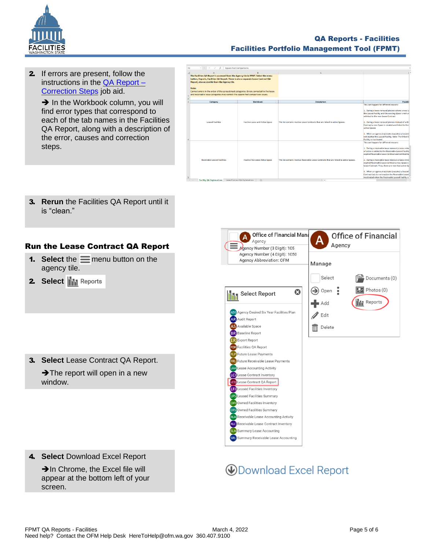

### QA Reports - Facilities Facilities Portfolio Management Tool (FPMT)

**2.** If errors are present, follow the instructions in the  $QA$  Report  $-$ [Correction](https://ofm.wa.gov/sites/default/files/public/itsystems/FPMT/QA%20Report%20Correction%20Steps.xlsx) Steps job aid. **→ In the Workbook column, you will** 

find error types that correspond to each of the tab names in the Facilities QA Report, along with a description of the error, causes and correction steps.

| A6 | <b>Square Feet Comparisons</b><br>fe.                                                                                                                                                                                                                                                                                                                                                                           |                                               |                                                                                          |                                                                                                                                                                                                                                                                                                                                                                                                                                                                                                                                        |
|----|-----------------------------------------------------------------------------------------------------------------------------------------------------------------------------------------------------------------------------------------------------------------------------------------------------------------------------------------------------------------------------------------------------------------|-----------------------------------------------|------------------------------------------------------------------------------------------|----------------------------------------------------------------------------------------------------------------------------------------------------------------------------------------------------------------------------------------------------------------------------------------------------------------------------------------------------------------------------------------------------------------------------------------------------------------------------------------------------------------------------------------|
|    |                                                                                                                                                                                                                                                                                                                                                                                                                 |                                               | $\epsilon$                                                                               | ı.                                                                                                                                                                                                                                                                                                                                                                                                                                                                                                                                     |
|    | The Facilities QA Report is accessed from the Agency tile in FPMT. Select the menu<br>button, Reports, Facilities QA Report. There is also a separate Lease Contract QA<br>Report, also accessible from the Agency tile.<br>Note:<br>Correct errors in the order of the spreadsheet categories. Errors corrected in the lease<br>and receivable lease categories may correct the square feet comparison issues. |                                               |                                                                                          |                                                                                                                                                                                                                                                                                                                                                                                                                                                                                                                                        |
|    | Category<br>l w                                                                                                                                                                                                                                                                                                                                                                                                 | Workbook<br>Iv.                               | v<br><b>Description</b>                                                                  | Possible                                                                                                                                                                                                                                                                                                                                                                                                                                                                                                                               |
|    | <b>Leased Facilities</b>                                                                                                                                                                                                                                                                                                                                                                                        | Inactive Lease and Active Space               | This list contains inactive Lease Contracts that are linked to active Spaces.            | This can happen for different reasons:<br>1. During a lease renewal process where a new Le<br>the Leased Facility and the existing Space is not un<br>relinked to the new Lease Contract<br>2. During a lease renewal process instead of unlir<br>Contract a new Space is created and linked to the<br>active Spaces<br>3. When an agency inactivates (vacates) a Leased<br>not inactive the Leased Facility. Note: The linked S<br>Facility is inactivated.                                                                           |
|    | <b>Receivable Leased Facilities</b>                                                                                                                                                                                                                                                                                                                                                                             | Inactive Rec Lease Active Space               | This list contains inactive Receivable Lease Contracts that are linked to active Spaces. | This can happen for different reasons:<br>1. During a receivable lease renewal process whe<br>of active is added to the Receivable Leased Facility<br>expired Receivable Lease Contract and relinked to<br>2. During a receivable lease renewal process inste<br>expired Receivable Lease Contract a new Space is<br>Lease Contract. Thus, there are now two active Sp<br>3. When an agency inactivates (vacates) a leased<br>Contract but do not inactive the Receivable Leaser<br>inactivated when the Receivable Leased Facility is |
|    | <b>Facility QA Explanations</b>                                                                                                                                                                                                                                                                                                                                                                                 | Lease Contract QA Explanations<br>$\circledR$ | $\frac{1}{2}$                                                                            |                                                                                                                                                                                                                                                                                                                                                                                                                                                                                                                                        |
|    |                                                                                                                                                                                                                                                                                                                                                                                                                 |                                               |                                                                                          |                                                                                                                                                                                                                                                                                                                                                                                                                                                                                                                                        |

3. **Rerun** the Facilities QA Report until it is "clean."

### <span id="page-4-0"></span>Run the Lease Contract QA Report

- **1.** Select the  $\equiv$  menu button on the agency tile.
- **2.** Select **in** Reports

3. **Select** Lease Contract QA Report. **→ The report will open in a new** window.

4. **Select** Download Excel Report

**→In Chrome, the Excel file will** appear at the bottom left of your screen.



# **ODownload Excel Report**